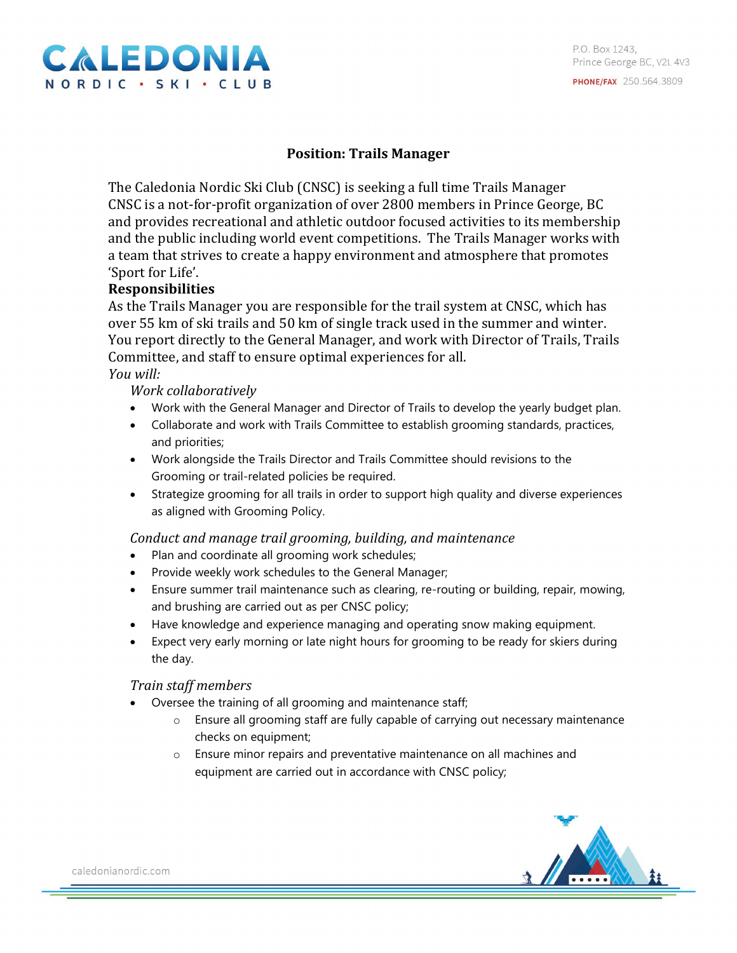

# **Position: Trails Manager**

The Caledonia Nordic Ski Club (CNSC) is seeking a full time Trails Manager CNSC is a not-for-profit organization of over 2800 members in Prince George, BC and provides recreational and athletic outdoor focused activities to its membership and the public including world event competitions. The Trails Manager works with a team that strives to create a happy environment and atmosphere that promotes 'Sport for Life'.

## **Responsibilities**

As the Trails Manager you are responsible for the trail system at CNSC, which has over 55 km of ski trails and 50 km of single track used in the summer and winter. You report directly to the General Manager, and work with Director of Trails, Trails Committee, and staff to ensure optimal experiences for all. *You will:* 

*Work collaboratively*

- Work with the General Manager and Director of Trails to develop the yearly budget plan.
- Collaborate and work with Trails Committee to establish grooming standards, practices, and priorities;
- Work alongside the Trails Director and Trails Committee should revisions to the Grooming or trail-related policies be required.
- Strategize grooming for all trails in order to support high quality and diverse experiences as aligned with Grooming Policy.

*Conduct and manage trail grooming, building, and maintenance* 

- Plan and coordinate all grooming work schedules;
- Provide weekly work schedules to the General Manager;
- Ensure summer trail maintenance such as clearing, re-routing or building, repair, mowing, and brushing are carried out as per CNSC policy;
- Have knowledge and experience managing and operating snow making equipment.
- Expect very early morning or late night hours for grooming to be ready for skiers during the day.

#### *Train staff members*

- Oversee the training of all grooming and maintenance staff;
	- o Ensure all grooming staff are fully capable of carrying out necessary maintenance checks on equipment;
	- o Ensure minor repairs and preventative maintenance on all machines and equipment are carried out in accordance with CNSC policy;